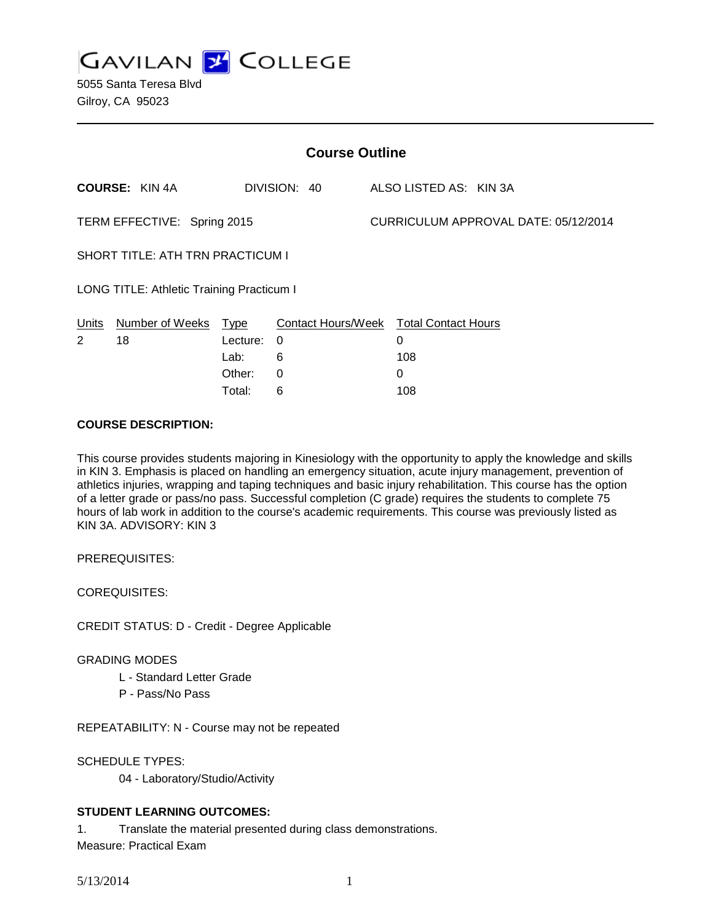**GAVILAN Z COLLEGE** 

| <b>Course Outline</b>                     |                       |          |                           |                                      |                            |
|-------------------------------------------|-----------------------|----------|---------------------------|--------------------------------------|----------------------------|
|                                           | <b>COURSE: KIN 4A</b> |          | DIVISION: 40              |                                      | ALSO LISTED AS: KIN 3A     |
| TERM EFFECTIVE: Spring 2015               |                       |          |                           | CURRICULUM APPROVAL DATE: 05/12/2014 |                            |
| <b>SHORT TITLE: ATH TRN PRACTICUM I</b>   |                       |          |                           |                                      |                            |
| LONG TITLE: Athletic Training Practicum I |                       |          |                           |                                      |                            |
| Units                                     | Number of Weeks       | Type     | <b>Contact Hours/Week</b> |                                      | <b>Total Contact Hours</b> |
| $\overline{2}$                            | 18                    | Lecture: | 0                         |                                      | 0                          |
|                                           |                       | Lab:     | 6                         |                                      | 108                        |
|                                           |                       | Other:   | 0                         |                                      | 0                          |
|                                           |                       | Total:   | 6                         |                                      | 108                        |

#### **COURSE DESCRIPTION:**

This course provides students majoring in Kinesiology with the opportunity to apply the knowledge and skills in KIN 3. Emphasis is placed on handling an emergency situation, acute injury management, prevention of athletics injuries, wrapping and taping techniques and basic injury rehabilitation. This course has the option of a letter grade or pass/no pass. Successful completion (C grade) requires the students to complete 75 hours of lab work in addition to the course's academic requirements. This course was previously listed as KIN 3A. ADVISORY: KIN 3

PREREQUISITES:

COREQUISITES:

CREDIT STATUS: D - Credit - Degree Applicable

#### GRADING MODES

- L Standard Letter Grade
- P Pass/No Pass

REPEATABILITY: N - Course may not be repeated

SCHEDULE TYPES:

04 - Laboratory/Studio/Activity

## **STUDENT LEARNING OUTCOMES:**

1. Translate the material presented during class demonstrations.

Measure: Practical Exam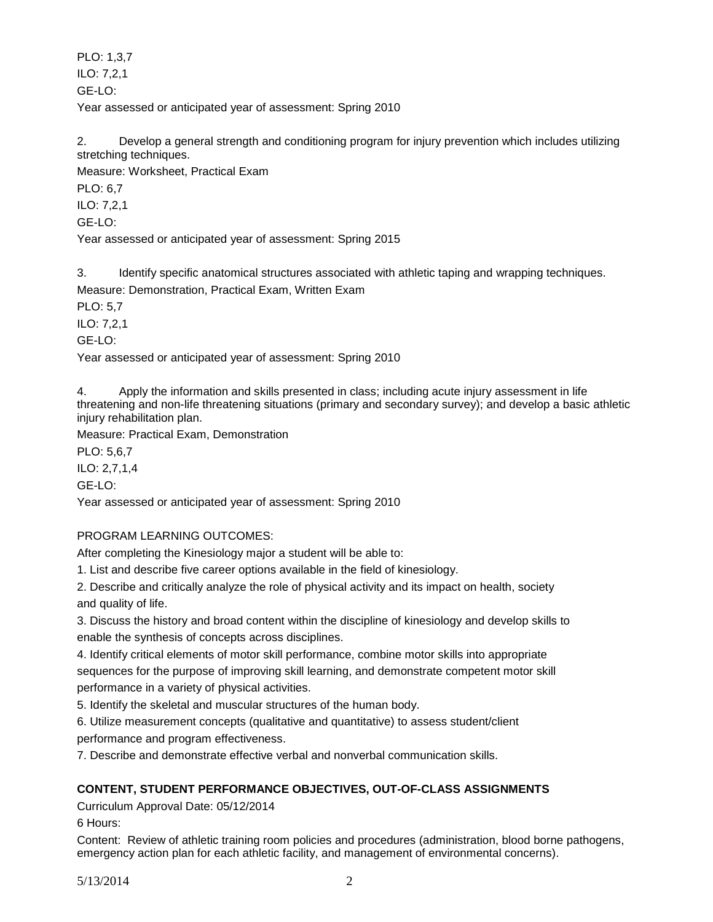PLO: 1,3,7 ILO: 7,2,1 GE-LO: Year assessed or anticipated year of assessment: Spring 2010

2. Develop a general strength and conditioning program for injury prevention which includes utilizing stretching techniques.

Measure: Worksheet, Practical Exam

PLO: 6,7

ILO: 7,2,1

GE-LO:

Year assessed or anticipated year of assessment: Spring 2015

3. Identify specific anatomical structures associated with athletic taping and wrapping techniques.

Measure: Demonstration, Practical Exam, Written Exam

PLO: 5,7

ILO: 7,2,1

GE-LO:

Year assessed or anticipated year of assessment: Spring 2010

4. Apply the information and skills presented in class; including acute injury assessment in life threatening and non-life threatening situations (primary and secondary survey); and develop a basic athletic injury rehabilitation plan.

Measure: Practical Exam, Demonstration

PLO: 5,6,7

ILO: 2,7,1,4

GE-LO:

Year assessed or anticipated year of assessment: Spring 2010

# PROGRAM LEARNING OUTCOMES:

After completing the Kinesiology major a student will be able to:

1. List and describe five career options available in the field of kinesiology.

2. Describe and critically analyze the role of physical activity and its impact on health, society and quality of life.

3. Discuss the history and broad content within the discipline of kinesiology and develop skills to enable the synthesis of concepts across disciplines.

4. Identify critical elements of motor skill performance, combine motor skills into appropriate sequences for the purpose of improving skill learning, and demonstrate competent motor skill performance in a variety of physical activities.

5. Identify the skeletal and muscular structures of the human body.

6. Utilize measurement concepts (qualitative and quantitative) to assess student/client performance and program effectiveness.

7. Describe and demonstrate effective verbal and nonverbal communication skills.

# **CONTENT, STUDENT PERFORMANCE OBJECTIVES, OUT-OF-CLASS ASSIGNMENTS**

Curriculum Approval Date: 05/12/2014

6 Hours:

Content: Review of athletic training room policies and procedures (administration, blood borne pathogens, emergency action plan for each athletic facility, and management of environmental concerns).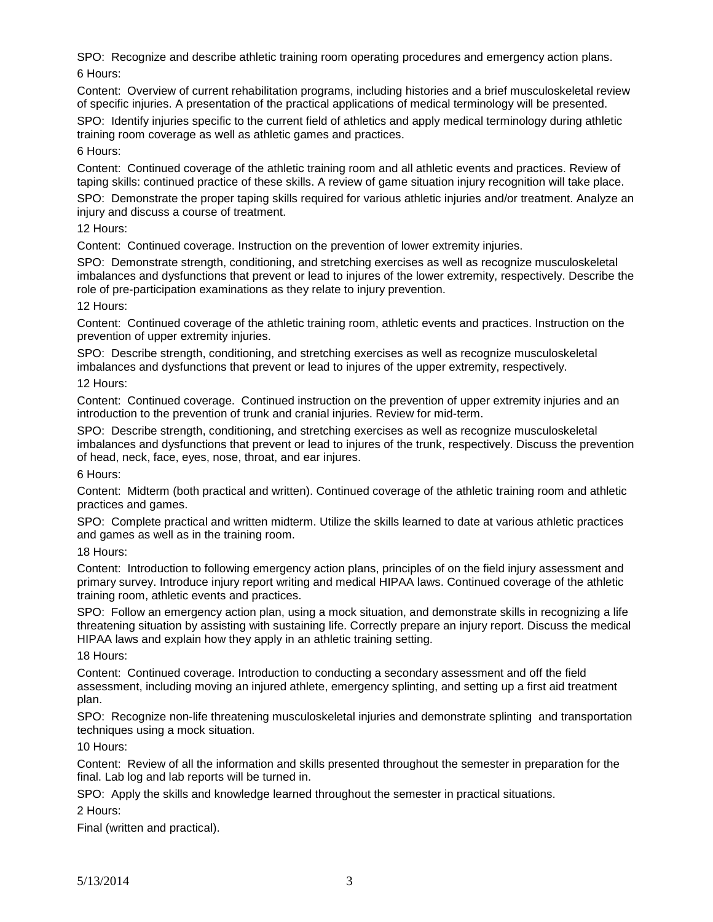SPO: Recognize and describe athletic training room operating procedures and emergency action plans. 6 Hours:

Content: Overview of current rehabilitation programs, including histories and a brief musculoskeletal review of specific injuries. A presentation of the practical applications of medical terminology will be presented.

SPO: Identify injuries specific to the current field of athletics and apply medical terminology during athletic training room coverage as well as athletic games and practices.

6 Hours:

Content: Continued coverage of the athletic training room and all athletic events and practices. Review of taping skills: continued practice of these skills. A review of game situation injury recognition will take place.

SPO: Demonstrate the proper taping skills required for various athletic injuries and/or treatment. Analyze an injury and discuss a course of treatment.

12 Hours:

Content: Continued coverage. Instruction on the prevention of lower extremity injuries.

SPO: Demonstrate strength, conditioning, and stretching exercises as well as recognize musculoskeletal imbalances and dysfunctions that prevent or lead to injures of the lower extremity, respectively. Describe the role of pre-participation examinations as they relate to injury prevention.

12 Hours:

Content: Continued coverage of the athletic training room, athletic events and practices. Instruction on the prevention of upper extremity injuries.

SPO: Describe strength, conditioning, and stretching exercises as well as recognize musculoskeletal imbalances and dysfunctions that prevent or lead to injures of the upper extremity, respectively.

12 Hours:

Content: Continued coverage. Continued instruction on the prevention of upper extremity injuries and an introduction to the prevention of trunk and cranial injuries. Review for mid-term.

SPO: Describe strength, conditioning, and stretching exercises as well as recognize musculoskeletal imbalances and dysfunctions that prevent or lead to injures of the trunk, respectively. Discuss the prevention of head, neck, face, eyes, nose, throat, and ear injures.

6 Hours:

Content: Midterm (both practical and written). Continued coverage of the athletic training room and athletic practices and games.

SPO: Complete practical and written midterm. Utilize the skills learned to date at various athletic practices and games as well as in the training room.

18 Hours:

Content: Introduction to following emergency action plans, principles of on the field injury assessment and primary survey. Introduce injury report writing and medical HIPAA laws. Continued coverage of the athletic training room, athletic events and practices.

SPO: Follow an emergency action plan, using a mock situation, and demonstrate skills in recognizing a life threatening situation by assisting with sustaining life. Correctly prepare an injury report. Discuss the medical HIPAA laws and explain how they apply in an athletic training setting.

18 Hours:

Content: Continued coverage. Introduction to conducting a secondary assessment and off the field assessment, including moving an injured athlete, emergency splinting, and setting up a first aid treatment plan.

SPO: Recognize non-life threatening musculoskeletal injuries and demonstrate splinting and transportation techniques using a mock situation.

10 Hours:

Content: Review of all the information and skills presented throughout the semester in preparation for the final. Lab log and lab reports will be turned in.

SPO: Apply the skills and knowledge learned throughout the semester in practical situations.

2 Hours:

Final (written and practical).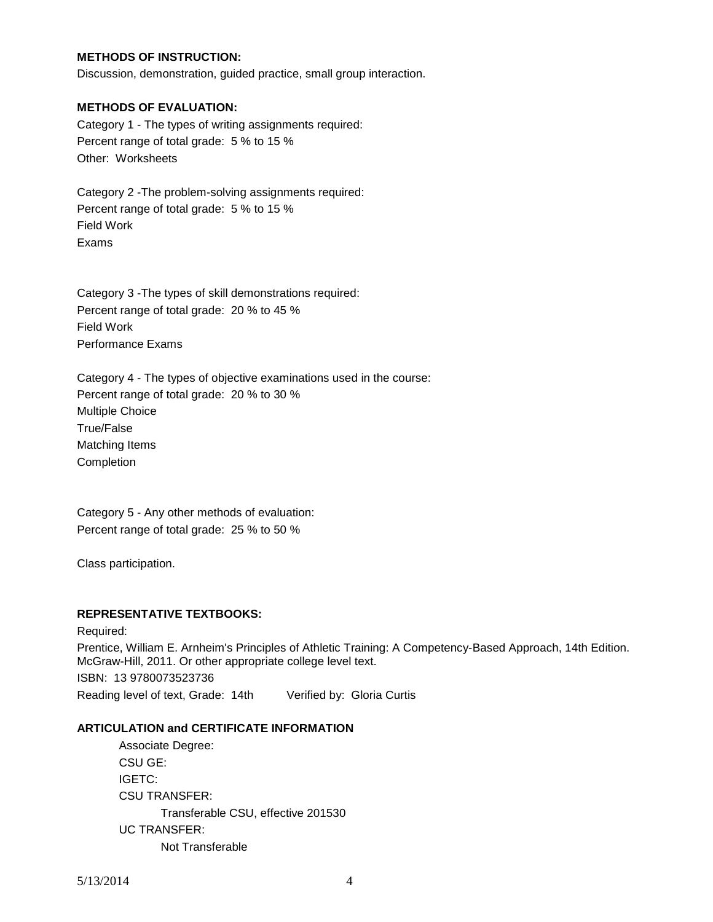## **METHODS OF INSTRUCTION:**

Discussion, demonstration, guided practice, small group interaction.

#### **METHODS OF EVALUATION:**

Category 1 - The types of writing assignments required: Percent range of total grade: 5 % to 15 % Other: Worksheets

Category 2 -The problem-solving assignments required: Percent range of total grade: 5 % to 15 % Field Work Exams

Category 3 -The types of skill demonstrations required: Percent range of total grade: 20 % to 45 % Field Work Performance Exams

Category 4 - The types of objective examinations used in the course: Percent range of total grade: 20 % to 30 % Multiple Choice True/False Matching Items Completion

Category 5 - Any other methods of evaluation: Percent range of total grade: 25 % to 50 %

Class participation.

## **REPRESENTATIVE TEXTBOOKS:**

Required: Prentice, William E. Arnheim's Principles of Athletic Training: A Competency-Based Approach, 14th Edition. McGraw-Hill, 2011. Or other appropriate college level text. ISBN: 13 9780073523736 Reading level of text, Grade: 14th Verified by: Gloria Curtis

## **ARTICULATION and CERTIFICATE INFORMATION**

Associate Degree: CSU GE: IGETC: CSU TRANSFER: Transferable CSU, effective 201530 UC TRANSFER: Not Transferable